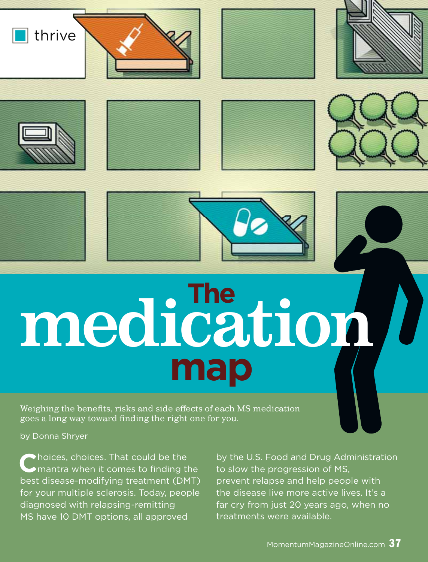

# **The map medication**

Weighing the benefits, risks and side effects of each MS medication goes a long way toward finding the right one for you.

by Donna Shryer

**C**hoices, choices. That could be the<br>
mantra when it comes to finding the best disease-modifying treatment (DMT) for your multiple sclerosis. Today, people diagnosed with relapsing-remitting MS have 10 DMT options, all approved

by the U.S. Food and Drug Administration to slow the progression of MS, prevent relapse and help people with the disease live more active lives. It's a far cry from just 20 years ago, when no treatments were available.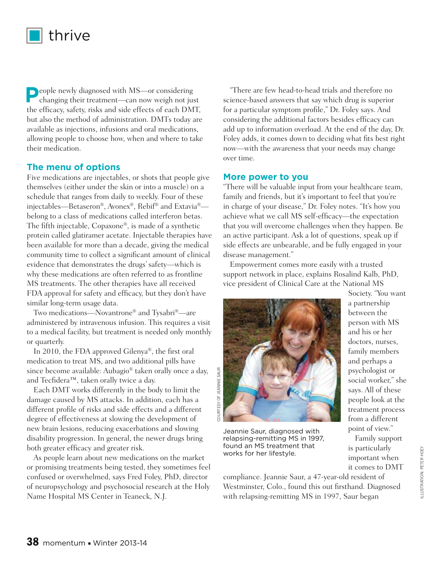

**P**eople newly diagnosed with MS—or considering changing their treatment—can now weigh not just the efficacy, safety, risks and side effects of each DMT, but also the method of administration. DMTs today are available as injections, infusions and oral medications, allowing people to choose how, when and where to take their medication.

#### **The menu of options**

Five medications are injectables, or shots that people give themselves (either under the skin or into a muscle) on a schedule that ranges from daily to weekly. Four of these injectables—Betaseron®, Avonex®, Rebif® and Extavia® belong to a class of medications called interferon betas. The fifth injectable, Copaxone®, is made of a synthetic protein called glatiramer acetate. Injectable therapies have been available for more than a decade, giving the medical community time to collect a significant amount of clinical evidence that demonstrates the drugs' safety—which is why these medications are often referred to as frontline MS treatments. The other therapies have all received FDA approval for safety and efficacy, but they don't have similar long-term usage data.

Two medications—Novantrone® and Tysabri®—are administered by intravenous infusion. This requires a visit to a medical facility, but treatment is needed only monthly or quarterly.

In 2010, the FDA approved Gilenya®, the first oral medication to treat MS, and two additional pills have since become available: Aubagio<sup>®</sup> taken orally once a day, and Tecfidera™, taken orally twice a day.

Each DMT works differently in the body to limit the damage caused by MS attacks. In addition, each has a different profile of risks and side effects and a different degree of effectiveness at slowing the development of new brain lesions, reducing exacerbations and slowing disability progression. In general, the newer drugs bring both greater efficacy and greater risk.

As people learn about new medications on the market or promising treatments being tested, they sometimes feel confused or overwhelmed, says Fred Foley, PhD, director of neuropsychology and psychosocial research at the Holy Name Hospital MS Center in Teaneck, N.J.

"There are few head-to-head trials and therefore no science-based answers that say which drug is superior for a particular symptom profile," Dr. Foley says. And considering the additional factors besides efficacy can add up to information overload. At the end of the day, Dr. Foley adds, it comes down to deciding what fits best right now—with the awareness that your needs may change over time.

#### **More power to you**

"There will be valuable input from your healthcare team, family and friends, but it's important to feel that you're in charge of your disease," Dr. Foley notes. "It's how you achieve what we call MS self-efficacy—the expectation that you will overcome challenges when they happen. Be an active participant. Ask a lot of questions, speak up if side effects are unbearable, and be fully engaged in your disease management."

Empowerment comes more easily with a trusted support network in place, explains Rosalind Kalb, PhD, vice president of Clinical Care at the National MS



Jeannie Saur, diagnosed with relapsing-remitting MS in 1997, found an MS treatment that works for her lifestyle.

compliance. Jeannie Saur, a 47-year-old resident of Westminster, Colo., found this out firsthand. Diagnosed with relapsing-remitting MS in 1997, Saur began

Society. "You want a partnership between the person with MS and his or her doctors, nurses, family members and perhaps a psychologist or social worker," she says. All of these people look at the treatment process from a different point of view."

Family support is particularly important when it comes to DMT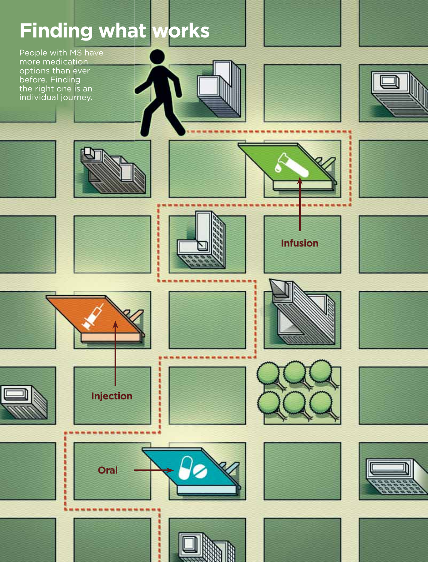## **Finding what works**

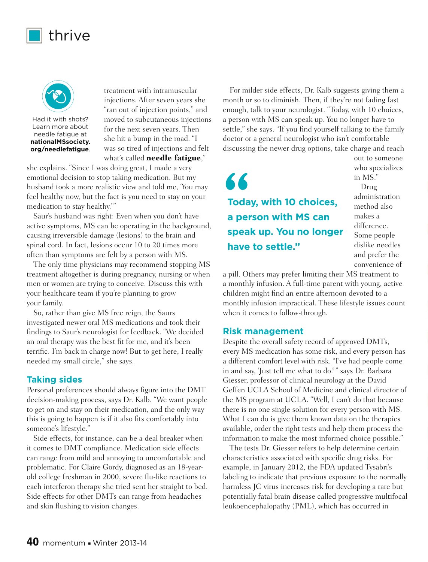



Had it with shots? Learn more about needle fatigue at **nationalMSsociety. org/needlefatigue**.

treatment with intramuscular injections. After seven years she "ran out of injection points," and moved to subcutaneous injections for the next seven years. Then she hit a bump in the road. "I was so tired of injections and felt what's called **needle fatigue**,"

she explains. "Since I was doing great, I made a very emotional decision to stop taking medication. But my husband took a more realistic view and told me, 'You may feel healthy now, but the fact is you need to stay on your medication to stay healthy."

Saur's husband was right: Even when you don't have active symptoms, MS can be operating in the background, causing irreversible damage (lesions) to the brain and spinal cord. In fact, lesions occur 10 to 20 times more often than symptoms are felt by a person with MS.

The only time physicians may recommend stopping MS treatment altogether is during pregnancy, nursing or when men or women are trying to conceive. Discuss this with your healthcare team if you're planning to grow your family.

So, rather than give MS free reign, the Saurs investigated newer oral MS medications and took their findings to Saur's neurologist for feedback. "We decided an oral therapy was the best fit for me, and it's been terrific. I'm back in charge now! But to get here, I really needed my small circle," she says.

#### **Taking sides**

Personal preferences should always figure into the DMT decision-making process, says Dr. Kalb. "We want people to get on and stay on their medication, and the only way this is going to happen is if it also fits comfortably into someone's lifestyle."

Side effects, for instance, can be a deal breaker when it comes to DMT compliance. Medication side effects can range from mild and annoying to uncomfortable and problematic. For Claire Gordy, diagnosed as an 18-yearold college freshman in 2000, severe flu-like reactions to each interferon therapy she tried sent her straight to bed. Side effects for other DMTs can range from headaches and skin flushing to vision changes.

For milder side effects, Dr. Kalb suggests giving them a month or so to diminish. Then, if they're not fading fast enough, talk to your neurologist. "Today, with 10 choices, a person with MS can speak up. You no longer have to settle," she says. "If you find yourself talking to the family doctor or a general neurologist who isn't comfortable discussing the newer drug options, take charge and reach

**Today, with 10 choices, a person with MS can speak up. You no longer have to settle."** "

out to someone who specializes in MS." Drug administration method also makes a difference. Some people dislike needles and prefer the convenience of

a pill. Others may prefer limiting their MS treatment to a monthly infusion. A full-time parent with young, active children might find an entire afternoon devoted to a monthly infusion impractical. These lifestyle issues count when it comes to follow-through.

#### **Risk management**

Despite the overall safety record of approved DMTs, every MS medication has some risk, and every person has a different comfort level with risk. "I've had people come in and say, 'Just tell me what to do!'" says Dr. Barbara Giesser, professor of clinical neurology at the David Geffen UCLA School of Medicine and clinical director of the MS program at UCLA. "Well, I can't do that because there is no one single solution for every person with MS. What I can do is give them known data on the therapies available, order the right tests and help them process the information to make the most informed choice possible."

The tests Dr. Giesser refers to help determine certain characteristics associated with specific drug risks. For example, in January 2012, the FDA updated Tysabri's labeling to indicate that previous exposure to the normally harmless JC virus increases risk for developing a rare but potentially fatal brain disease called progressive multifocal leukoencephalopathy (PML), which has occurred in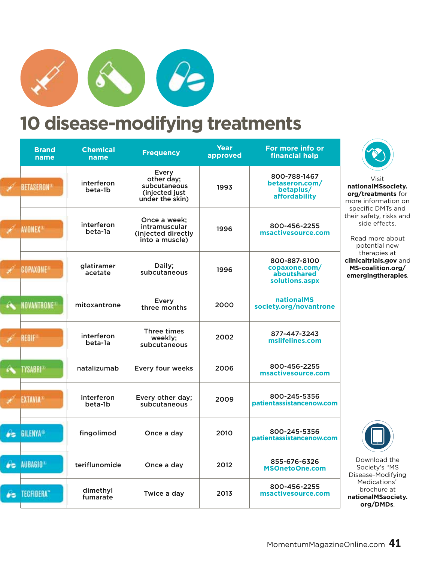

### **10 disease-modifying treatments**

|     | <b>Brand</b><br>name                         | <b>Chemical</b><br>name | <b>Frequency</b>                                                          | Year<br>approved | For more info or<br>financial help                             |                                                                                                   |
|-----|----------------------------------------------|-------------------------|---------------------------------------------------------------------------|------------------|----------------------------------------------------------------|---------------------------------------------------------------------------------------------------|
|     | <b>BETASERON*</b>                            | interferon<br>beta-1b   | Every<br>other day;<br>subcutaneous<br>(injected just)<br>under the skin) | 1993             | 800-788-1467<br>betaseron.com/<br>betaplus/<br>affordability   | Visit<br>nationalMSsociety.<br>org/treatments for<br>more information on                          |
|     | <b>AVONEX</b>                                | interferon<br>beta-la   | Once a week;<br>intramuscular<br>Ciniected directly<br>into a muscle)     | 1996             | 800-456-2255<br>msactivesource.com                             | specific DMTs and<br>their safety, risks and<br>side effects.<br>Read more about<br>potential new |
|     | <b>COPAXONE</b>                              | glatiramer<br>acetate   | Daily;<br>subcutaneous                                                    | 1996             | 800-887-8100<br>copaxone.com/<br>aboutshared<br>solutions.aspx | therapies at<br>clinicaltrials.gov and<br>MS-coalition.org/<br>emergingtherapies.                 |
| 69. | <b>NOVANTRONE</b>                            | mitoxantrone            | Every<br>three months                                                     | 2000             | <b>nationalMS</b><br>society.org/novantrone                    |                                                                                                   |
|     | <b>REBIF</b>                                 | interferon<br>beta-la   | Three times<br>weekly:<br>subcutaneous                                    | 2002             | 877-447-3243<br>mslifelines.com                                |                                                                                                   |
| 69  | <b>TYSABRI</b>                               | natalizumab             | Every four weeks                                                          | 2006             | 800-456-2255<br>msactivesource.com                             |                                                                                                   |
|     | <b>EXTAVIA</b>                               | interferon<br>beta-1b   | Every other day;<br>subcutaneous                                          | 2009             | 800-245-5356<br>patientassistancenow.com                       |                                                                                                   |
|     | $\epsilon$ GILENYA <sup>®</sup>              | fingolimod              | Once a day                                                                | 2010             | 800-245-5356<br>patientassistancenow.com                       |                                                                                                   |
|     | $\epsilon$ AUBAGIO <sup><math>+</math></sup> | teriflunomide           | Once a day                                                                | 2012             | 855-676-6326<br><b>MSOnetoOne.com</b>                          | Download the<br>Society's "MS<br>Disease-Modifying                                                |
|     | <b>SECTIOERA</b>                             | dimethyl<br>fumarate    | Twice a day                                                               | 2013             | 800-456-2255<br>msactivesource.com                             | Medications"<br>brochure at<br>nationalMSsociety.<br>org/DMDs.                                    |